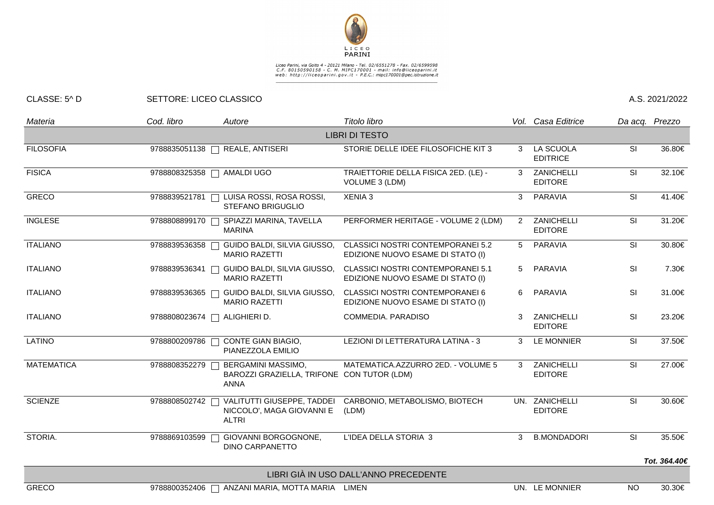

## Liceo Parini, via Goito 4 - 20121 Milano - Tel. 02/6551278 - Fax. 02/6599598<br>C.F. 80150590158 - C. M. MIPC170001 - mail: info@liceoparini.it<br>web: http://liceoparini.gov.it - P.E.C.: mipc170001@pec.istruzione.it

## CLASSE: 5^ D SETTORE: LICEO CLASSICO A.S. 2021/2022

| Materia                               | Cod. libro    | Autore                                                                          | Titolo libro                                                                  |   | Vol. Casa Editrice               | Da acq. Prezzo |              |  |  |  |  |  |
|---------------------------------------|---------------|---------------------------------------------------------------------------------|-------------------------------------------------------------------------------|---|----------------------------------|----------------|--------------|--|--|--|--|--|
| <b>LIBRI DI TESTO</b>                 |               |                                                                                 |                                                                               |   |                                  |                |              |  |  |  |  |  |
| <b>FILOSOFIA</b>                      | 9788835051138 | REALE, ANTISERI                                                                 | STORIE DELLE IDEE FILOSOFICHE KIT 3                                           | 3 | LA SCUOLA<br><b>EDITRICE</b>     | SI             | 36.80€       |  |  |  |  |  |
| <b>FISICA</b>                         |               | 9788808325358   AMALDI UGO                                                      | TRAIETTORIE DELLA FISICA 2ED. (LE) -<br>VOLUME 3 (LDM)                        | 3 | ZANICHELLI<br><b>EDITORE</b>     | SI             | 32.10€       |  |  |  |  |  |
| GRECO                                 | 9788839521781 | LUISA ROSSI, ROSA ROSSI,<br><b>STEFANO BRIGUGLIO</b>                            | XENIA 3                                                                       | 3 | PARAVIA                          | SI             | 41.40€       |  |  |  |  |  |
| <b>INGLESE</b>                        | 9788808899170 | SPIAZZI MARINA, TAVELLA<br><b>MARINA</b>                                        | PERFORMER HERITAGE - VOLUME 2 (LDM)                                           | 2 | ZANICHELLI<br><b>EDITORE</b>     | SI             | 31.20€       |  |  |  |  |  |
| <b>ITALIANO</b>                       | 9788839536358 | GUIDO BALDI, SILVIA GIUSSO,<br><b>MARIO RAZETTI</b>                             | <b>CLASSICI NOSTRI CONTEMPORANEI 5.2</b><br>EDIZIONE NUOVO ESAME DI STATO (I) | 5 | <b>PARAVIA</b>                   | SI             | 30.80€       |  |  |  |  |  |
| <b>ITALIANO</b>                       | 9788839536341 | GUIDO BALDI, SILVIA GIUSSO,<br><b>MARIO RAZETTI</b>                             | <b>CLASSICI NOSTRI CONTEMPORANEI 5.1</b><br>EDIZIONE NUOVO ESAME DI STATO (I) | 5 | PARAVIA                          | SI             | 7.30€        |  |  |  |  |  |
| <b>ITALIANO</b>                       | 9788839536365 | GUIDO BALDI, SILVIA GIUSSO,<br><b>MARIO RAZETTI</b>                             | <b>CLASSICI NOSTRI CONTEMPORANEI 6</b><br>EDIZIONE NUOVO ESAME DI STATO (I)   | 6 | PARAVIA                          | <b>SI</b>      | 31.00€       |  |  |  |  |  |
| <b>ITALIANO</b>                       |               | 9788808023674   ALIGHIERI D.                                                    | COMMEDIA, PARADISO                                                            | 3 | ZANICHELLI<br><b>EDITORE</b>     | SI             | 23.20€       |  |  |  |  |  |
| <b>LATINO</b>                         | 9788800209786 | CONTE GIAN BIAGIO,<br>PIANEZZOLA EMILIO                                         | LEZIONI DI LETTERATURA LATINA - 3                                             | 3 | <b>LE MONNIER</b>                | SI             | 37.50€       |  |  |  |  |  |
| <b>MATEMATICA</b>                     | 9788808352279 | BERGAMINI MASSIMO,<br>BAROZZI GRAZIELLA, TRIFONE CON TUTOR (LDM)<br><b>ANNA</b> | MATEMATICA.AZZURRO 2ED. - VOLUME 5                                            | 3 | ZANICHELLI<br><b>EDITORE</b>     | SI             | 27.00€       |  |  |  |  |  |
| <b>SCIENZE</b>                        | 9788808502742 | VALITUTTI GIUSEPPE, TADDEI<br>NICCOLO', MAGA GIOVANNI E<br><b>ALTRI</b>         | CARBONIO, METABOLISMO, BIOTECH<br>(LDM)                                       |   | UN. ZANICHELLI<br><b>EDITORE</b> | SI             | 30.60€       |  |  |  |  |  |
| STORIA.                               | 9788869103599 | GIOVANNI BORGOGNONE,<br><b>DINO CARPANETTO</b>                                  | L'IDEA DELLA STORIA 3                                                         | 3 | <b>B.MONDADORI</b>               | SI             | 35.50€       |  |  |  |  |  |
|                                       |               |                                                                                 |                                                                               |   |                                  |                | Tot. 364.40€ |  |  |  |  |  |
| LIBRI GIÀ IN USO DALL'ANNO PRECEDENTE |               |                                                                                 |                                                                               |   |                                  |                |              |  |  |  |  |  |
| <b>GRECO</b>                          |               | 9788800352406   ANZANI MARIA, MOTTA MARIA LIMEN                                 |                                                                               |   | UN. LE MONNIER                   | NO.            | 30.30€       |  |  |  |  |  |